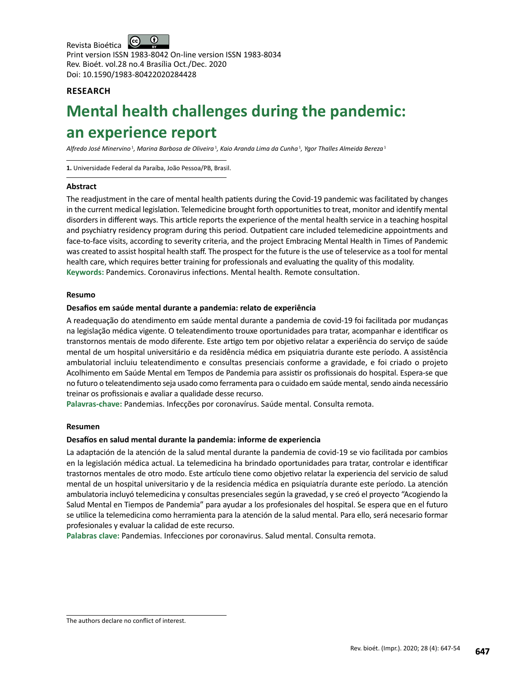$\bigcirc$ Revista Bioética Print version ISSN 1983-8042 On-line version ISSN 1983-8034 Rev. Bioét. vol.28 no.4 Brasília Oct./Dec. 2020 Doi: 10.1590/1983-80422020284428

# **RESEARCH**

# **Mental health challenges during the pandemic: an experience report**

Alfredo José Minervino<sup>1</sup>, Marina Barbosa de Oliveira<sup>1</sup>, Kaio Aranda Lima da Cunha<sup>1</sup>, Ygor Thalles Almeida Bereza<sup>1</sup>

**1.** Universidade Federal da Paraíba, João Pessoa/PB, Brasil.

#### **Abstract**

The readjustment in the care of mental health patients during the Covid-19 pandemic was facilitated by changes in the current medical legislation. Telemedicine brought forth opportunities to treat, monitor and identify mental disorders in different ways. This article reports the experience of the mental health service in a teaching hospital and psychiatry residency program during this period. Outpatient care included telemedicine appointments and face-to-face visits, according to severity criteria, and the project Embracing Mental Health in Times of Pandemic was created to assist hospital health staff. The prospect for the future is the use of teleservice as a tool for mental health care, which requires better training for professionals and evaluating the quality of this modality. **Keywords:** Pandemics. Coronavirus infections. Mental health. Remote consultation.

#### **Resumo**

## **Desafios em saúde mental durante a pandemia: relato de experiência**

A readequação do atendimento em saúde mental durante a pandemia de covid-19 foi facilitada por mudanças na legislação médica vigente. O teleatendimento trouxe oportunidades para tratar, acompanhar e identificar os transtornos mentais de modo diferente. Este artigo tem por objetivo relatar a experiência do serviço de saúde mental de um hospital universitário e da residência médica em psiquiatria durante este período. A assistência ambulatorial incluiu teleatendimento e consultas presenciais conforme a gravidade, e foi criado o projeto Acolhimento em Saúde Mental em Tempos de Pandemia para assistir os profissionais do hospital. Espera-se que no futuro o teleatendimento seja usado como ferramenta para o cuidado em saúde mental, sendo ainda necessário treinar os profissionais e avaliar a qualidade desse recurso.

**Palavras-chave:** Pandemias. Infecções por coronavírus. Saúde mental. Consulta remota.

#### **Resumen**

#### **Desafíos en salud mental durante la pandemia: informe de experiencia**

La adaptación de la atención de la salud mental durante la pandemia de covid-19 se vio facilitada por cambios en la legislación médica actual. La telemedicina ha brindado oportunidades para tratar, controlar e identificar trastornos mentales de otro modo. Este artículo tiene como objetivo relatar la experiencia del servicio de salud mental de un hospital universitario y de la residencia médica en psiquiatría durante este período. La atención ambulatoria incluyó telemedicina y consultas presenciales según la gravedad, y se creó el proyecto "Acogiendo la Salud Mental en Tiempos de Pandemia" para ayudar a los profesionales del hospital. Se espera que en el futuro se utilice la telemedicina como herramienta para la atención de la salud mental. Para ello, será necesario formar profesionales y evaluar la calidad de este recurso.

**Palabras clave:** Pandemias. Infecciones por coronavirus. Salud mental. Consulta remota.

The authors declare no conflict of interest.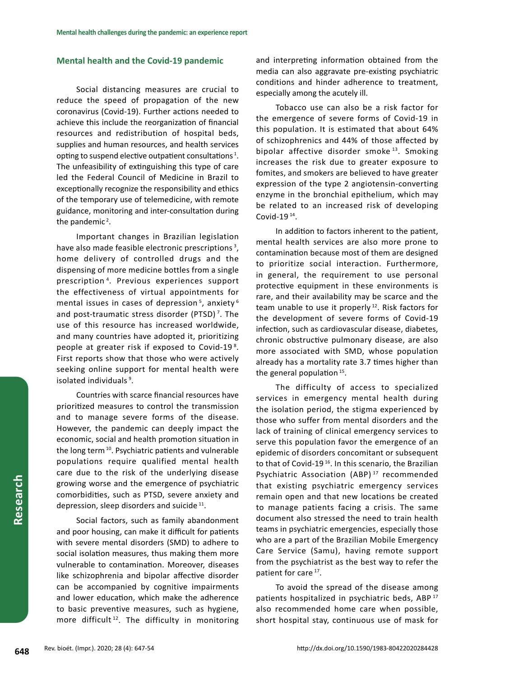### **Mental health and the Covid-19 pandemic**

Social distancing measures are crucial to reduce the speed of propagation of the new coronavirus (Covid-19). Further actions needed to achieve this include the reorganization of financial resources and redistribution of hospital beds, supplies and human resources, and health services opting to suspend elective outpatient consultations<sup>1</sup>. The unfeasibility of extinguishing this type of care led the Federal Council of Medicine in Brazil to exceptionally recognize the responsibility and ethics of the temporary use of telemedicine, with remote guidance, monitoring and inter-consultation during the pandemic<sup>2</sup>.

Important changes in Brazilian legislation have also made feasible electronic prescriptions<sup>3</sup>, home delivery of controlled drugs and the dispensing of more medicine bottles from a single prescription <sup>4</sup> . Previous experiences support the effectiveness of virtual appointments for mental issues in cases of depression<sup>5</sup>, anxiety<sup>6</sup> and post-traumatic stress disorder (PTSD)<sup>7</sup>. The use of this resource has increased worldwide, and many countries have adopted it, prioritizing people at greater risk if exposed to Covid-19<sup>8</sup>. First reports show that those who were actively seeking online support for mental health were isolated individuals<sup>9</sup>.

Countries with scarce financial resources have prioritized measures to control the transmission and to manage severe forms of the disease. However, the pandemic can deeply impact the economic, social and health promotion situation in the long term<sup>10</sup>. Psychiatric patients and vulnerable populations require qualified mental health care due to the risk of the underlying disease growing worse and the emergence of psychiatric comorbidities, such as PTSD, severe anxiety and depression, sleep disorders and suicide 11.

Social factors, such as family abandonment and poor housing, can make it difficult for patients with severe mental disorders (SMD) to adhere to social isolation measures, thus making them more vulnerable to contamination. Moreover, diseases like schizophrenia and bipolar affective disorder can be accompanied by cognitive impairments and lower education, which make the adherence to basic preventive measures, such as hygiene, more difficult<sup>12</sup>. The difficulty in monitoring and interpreting information obtained from the media can also aggravate pre-existing psychiatric conditions and hinder adherence to treatment, especially among the acutely ill.

Tobacco use can also be a risk factor for the emergence of severe forms of Covid-19 in this population. It is estimated that about 64% of schizophrenics and 44% of those affected by bipolar affective disorder smoke<sup>13</sup>. Smoking increases the risk due to greater exposure to fomites, and smokers are believed to have greater expression of the type 2 angiotensin-converting enzyme in the bronchial epithelium, which may be related to an increased risk of developing Covid-19 $14$ .

In addition to factors inherent to the patient, mental health services are also more prone to contamination because most of them are designed to prioritize social interaction. Furthermore, in general, the requirement to use personal protective equipment in these environments is rare, and their availability may be scarce and the team unable to use it properly<sup>12</sup>. Risk factors for the development of severe forms of Covid-19 infection, such as cardiovascular disease, diabetes, chronic obstructive pulmonary disease, are also more associated with SMD, whose population already has a mortality rate 3.7 times higher than the general population  $15$ .

The difficulty of access to specialized services in emergency mental health during the isolation period, the stigma experienced by those who suffer from mental disorders and the lack of training of clinical emergency services to serve this population favor the emergence of an epidemic of disorders concomitant or subsequent to that of Covid-19<sup>16</sup>. In this scenario, the Brazilian Psychiatric Association (ABP)<sup>17</sup> recommended that existing psychiatric emergency services remain open and that new locations be created to manage patients facing a crisis. The same document also stressed the need to train health teams in psychiatric emergencies, especially those who are a part of the Brazilian Mobile Emergency Care Service (Samu), having remote support from the psychiatrist as the best way to refer the patient for care<sup>17</sup>.

To avoid the spread of the disease among patients hospitalized in psychiatric beds, ABP 17 also recommended home care when possible, short hospital stay, continuous use of mask for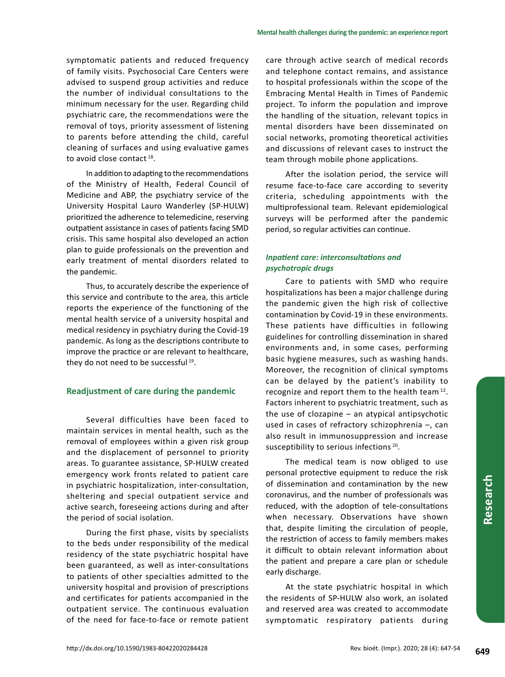symptomatic patients and reduced frequency of family visits. Psychosocial Care Centers were advised to suspend group activities and reduce the number of individual consultations to the minimum necessary for the user. Regarding child psychiatric care, the recommendations were the removal of toys, priority assessment of listening to parents before attending the child, careful cleaning of surfaces and using evaluative games to avoid close contact<sup>18</sup>.

In addition to adapting to the recommendations of the Ministry of Health, Federal Council of Medicine and ABP, the psychiatry service of the University Hospital Lauro Wanderley (SP-HULW) prioritized the adherence to telemedicine, reserving outpatient assistance in cases of patients facing SMD crisis. This same hospital also developed an action plan to guide professionals on the prevention and early treatment of mental disorders related to the pandemic.

Thus, to accurately describe the experience of this service and contribute to the area, this article reports the experience of the functioning of the mental health service of a university hospital and medical residency in psychiatry during the Covid-19 pandemic. As long as the descriptions contribute to improve the practice or are relevant to healthcare, they do not need to be successful 19.

## **Readjustment of care during the pandemic**

Several difficulties have been faced to maintain services in mental health, such as the removal of employees within a given risk group and the displacement of personnel to priority areas. To guarantee assistance, SP-HULW created emergency work fronts related to patient care in psychiatric hospitalization, inter-consultation, sheltering and special outpatient service and active search, foreseeing actions during and after the period of social isolation.

During the first phase, visits by specialists to the beds under responsibility of the medical residency of the state psychiatric hospital have been guaranteed, as well as inter-consultations to patients of other specialties admitted to the university hospital and provision of prescriptions and certificates for patients accompanied in the outpatient service. The continuous evaluation of the need for face-to-face or remote patient

care through active search of medical records and telephone contact remains, and assistance to hospital professionals within the scope of the Embracing Mental Health in Times of Pandemic project. To inform the population and improve the handling of the situation, relevant topics in mental disorders have been disseminated on social networks, promoting theoretical activities and discussions of relevant cases to instruct the team through mobile phone applications.

After the isolation period, the service will resume face-to-face care according to severity criteria, scheduling appointments with the multiprofessional team. Relevant epidemiological surveys will be performed after the pandemic period, so regular activities can continue.

## *Inpatient care: interconsultations and psychotropic drugs*

Care to patients with SMD who require hospitalizations has been a major challenge during the pandemic given the high risk of collective contamination by Covid-19 in these environments. These patients have difficulties in following guidelines for controlling dissemination in shared environments and, in some cases, performing basic hygiene measures, such as washing hands. Moreover, the recognition of clinical symptoms can be delayed by the patient's inability to recognize and report them to the health team 12. Factors inherent to psychiatric treatment, such as the use of clozapine – an atypical antipsychotic used in cases of refractory schizophrenia –, can also result in immunosuppression and increase susceptibility to serious infections<sup>20</sup>.

The medical team is now obliged to use personal protective equipment to reduce the risk of dissemination and contamination by the new coronavirus, and the number of professionals was reduced, with the adoption of tele-consultations when necessary. Observations have shown that, despite limiting the circulation of people, the restriction of access to family members makes it difficult to obtain relevant information about the patient and prepare a care plan or schedule early discharge.

At the state psychiatric hospital in which the residents of SP-HULW also work, an isolated and reserved area was created to accommodate symptomatic respiratory patients during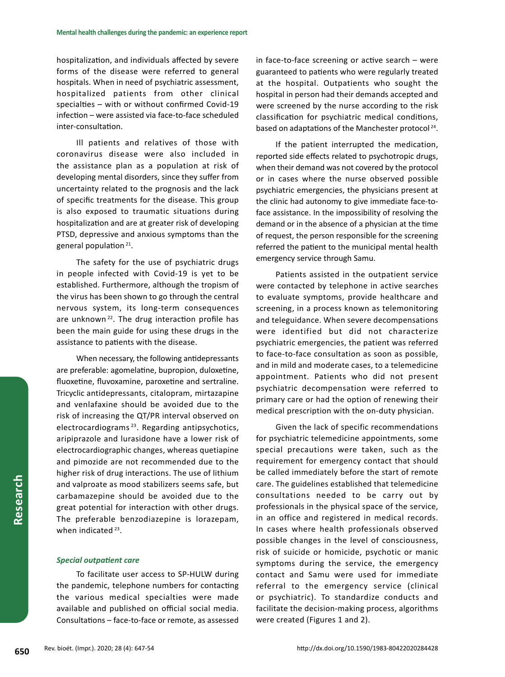hospitalization, and individuals affected by severe forms of the disease were referred to general hospitals. When in need of psychiatric assessment, hospitalized patients from other clinical specialties – with or without confirmed Covid-19 infection – were assisted via face-to-face scheduled inter-consultation.

Ill patients and relatives of those with coronavirus disease were also included in the assistance plan as a population at risk of developing mental disorders, since they suffer from uncertainty related to the prognosis and the lack of specific treatments for the disease. This group is also exposed to traumatic situations during hospitalization and are at greater risk of developing PTSD, depressive and anxious symptoms than the general population 21.

The safety for the use of psychiatric drugs in people infected with Covid-19 is yet to be established. Furthermore, although the tropism of the virus has been shown to go through the central nervous system, its long-term consequences are unknown<sup>22</sup>. The drug interaction profile has been the main guide for using these drugs in the assistance to patients with the disease.

When necessary, the following antidepressants are preferable: agomelatine, bupropion, duloxetine, fluoxetine, fluvoxamine, paroxetine and sertraline. Tricyclic antidepressants, citalopram, mirtazapine and venlafaxine should be avoided due to the risk of increasing the QT/PR interval observed on electrocardiograms 23. Regarding antipsychotics, aripiprazole and lurasidone have a lower risk of electrocardiographic changes, whereas quetiapine and pimozide are not recommended due to the higher risk of drug interactions. The use of lithium and valproate as mood stabilizers seems safe, but carbamazepine should be avoided due to the great potential for interaction with other drugs. The preferable benzodiazepine is lorazepam, when indicated  $23$ .

#### *Special outpatient care*

To facilitate user access to SP-HULW during the pandemic, telephone numbers for contacting the various medical specialties were made available and published on official social media. Consultations – face-to-face or remote, as assessed in face-to-face screening or active search – were guaranteed to patients who were regularly treated at the hospital. Outpatients who sought the hospital in person had their demands accepted and were screened by the nurse according to the risk classification for psychiatric medical conditions, based on adaptations of the Manchester protocol<sup>24</sup>.

If the patient interrupted the medication, reported side effects related to psychotropic drugs, when their demand was not covered by the protocol or in cases where the nurse observed possible psychiatric emergencies, the physicians present at the clinic had autonomy to give immediate face-toface assistance. In the impossibility of resolving the demand or in the absence of a physician at the time of request, the person responsible for the screening referred the patient to the municipal mental health emergency service through Samu.

Patients assisted in the outpatient service were contacted by telephone in active searches to evaluate symptoms, provide healthcare and screening, in a process known as telemonitoring and teleguidance. When severe decompensations were identified but did not characterize psychiatric emergencies, the patient was referred to face-to-face consultation as soon as possible, and in mild and moderate cases, to a telemedicine appointment. Patients who did not present psychiatric decompensation were referred to primary care or had the option of renewing their medical prescription with the on-duty physician.

Given the lack of specific recommendations for psychiatric telemedicine appointments, some special precautions were taken, such as the requirement for emergency contact that should be called immediately before the start of remote care. The guidelines established that telemedicine consultations needed to be carry out by professionals in the physical space of the service, in an office and registered in medical records. In cases where health professionals observed possible changes in the level of consciousness, risk of suicide or homicide, psychotic or manic symptoms during the service, the emergency contact and Samu were used for immediate referral to the emergency service (clinical or psychiatric). To standardize conducts and facilitate the decision-making process, algorithms were created (Figures 1 and 2).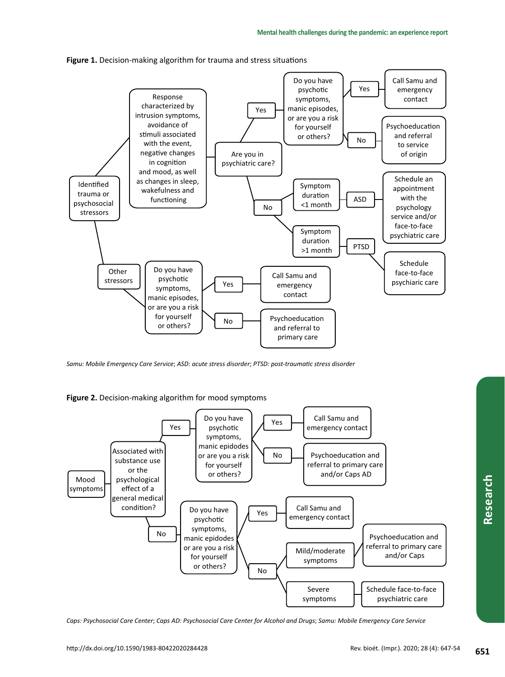



*Samu: Mobile Emergency Care Service*; *ASD: acute stress disorder*; *PTSD: post-traumatic stress disorder*

**Figure 2.** Decision-making algorithm for mood symptoms



*Caps: Psychosocial Care Center*; *Caps AD: Psychosocial Care Center for Alcohol and Drugs*; *Samu: Mobile Emergency Care Service*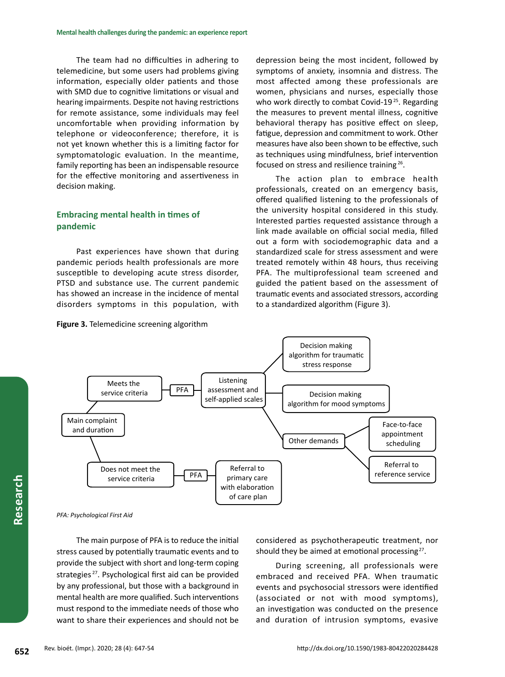The team had no difficulties in adhering to telemedicine, but some users had problems giving information, especially older patients and those with SMD due to cognitive limitations or visual and hearing impairments. Despite not having restrictions for remote assistance, some individuals may feel uncomfortable when providing information by telephone or videoconference; therefore, it is not yet known whether this is a limiting factor for symptomatologic evaluation. In the meantime, family reporting has been an indispensable resource for the effective monitoring and assertiveness in decision making.

# **Embracing mental health in times of pandemic**

Past experiences have shown that during pandemic periods health professionals are more susceptible to developing acute stress disorder, PTSD and substance use. The current pandemic has showed an increase in the incidence of mental disorders symptoms in this population, with



depression being the most incident, followed by symptoms of anxiety, insomnia and distress. The most affected among these professionals are women, physicians and nurses, especially those who work directly to combat Covid-19<sup>25</sup>. Regarding the measures to prevent mental illness, cognitive behavioral therapy has positive effect on sleep, fatigue, depression and commitment to work. Other measures have also been shown to be effective, such as techniques using mindfulness, brief intervention focused on stress and resilience training 26.

The action plan to embrace health professionals, created on an emergency basis, offered qualified listening to the professionals of the university hospital considered in this study. Interested parties requested assistance through a link made available on official social media, filled out a form with sociodemographic data and a standardized scale for stress assessment and were treated remotely within 48 hours, thus receiving PFA. The multiprofessional team screened and guided the patient based on the assessment of traumatic events and associated stressors, according to a standardized algorithm (Figure 3).



*PFA: Psychological First Aid*

The main purpose of PFA is to reduce the initial stress caused by potentially traumatic events and to provide the subject with short and long-term coping strategies<sup>27</sup>. Psychological first aid can be provided by any professional, but those with a background in mental health are more qualified. Such interventions must respond to the immediate needs of those who want to share their experiences and should not be

considered as psychotherapeutic treatment, nor should they be aimed at emotional processing<sup>27</sup>.

During screening, all professionals were embraced and received PFA. When traumatic events and psychosocial stressors were identified (associated or not with mood symptoms), an investigation was conducted on the presence and duration of intrusion symptoms, evasive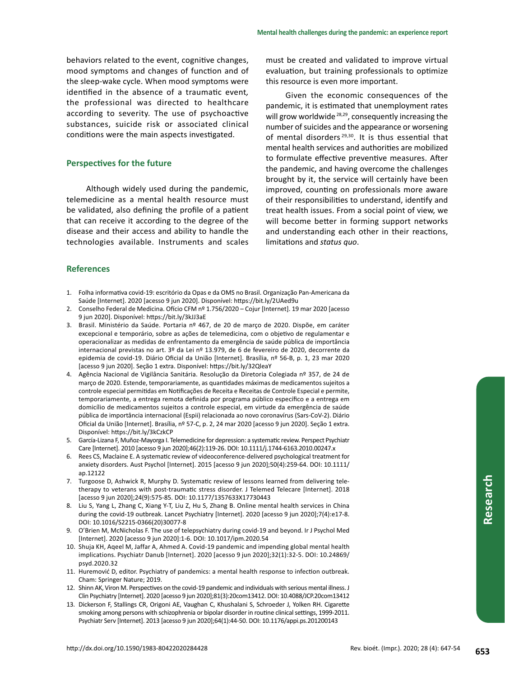behaviors related to the event, cognitive changes, mood symptoms and changes of function and of the sleep-wake cycle. When mood symptoms were identified in the absence of a traumatic event*,*  the professional was directed to healthcare according to severity. The use of psychoactive substances, suicide risk or associated clinical conditions were the main aspects investigated.

#### **Perspectives for the future**

Although widely used during the pandemic, telemedicine as a mental health resource must be validated, also defining the profile of a patient that can receive it according to the degree of the disease and their access and ability to handle the technologies available. Instruments and scales must be created and validated to improve virtual evaluation, but training professionals to optimize this resource is even more important.

Given the economic consequences of the pandemic, it is estimated that unemployment rates will grow worldwide<sup>28,29</sup>, consequently increasing the number of suicides and the appearance or worsening of mental disorders 29,30. It is thus essential that mental health services and authorities are mobilized to formulate effective preventive measures. After the pandemic, and having overcome the challenges brought by it, the service will certainly have been improved, counting on professionals more aware of their responsibilities to understand, identify and treat health issues. From a social point of view, we will become better in forming support networks and understanding each other in their reactions, limitations and *status quo*.

### **References**

- 1. Folha informativa covid-19: escritório da Opas e da OMS no Brasil. Organização Pan-Americana da Saúde [Internet]. 2020 [acesso 9 jun 2020]. Disponível: https://bit.ly/2UAed9u
- 2. Conselho Federal de Medicina. Ofício CFM nº 1.756/2020 Cojur [Internet]. 19 mar 2020 [acesso 9 jun 2020]. Disponível: https://bit.ly/3kJJ3aE
- 3. Brasil. Ministério da Saúde. Portaria nº 467, de 20 de março de 2020. Dispõe, em caráter excepcional e temporário, sobre as ações de telemedicina, com o objetivo de regulamentar e operacionalizar as medidas de enfrentamento da emergência de saúde pública de importância internacional previstas no art. 3º da Lei nº 13.979, de 6 de fevereiro de 2020, decorrente da epidemia de covid-19. Diário Oficial da União [Internet]. Brasília, nº 56-B, p. 1, 23 mar 2020 [acesso 9 jun 2020]. Seção 1 extra. Disponível: https://bit.ly/32QleaY
- 4. Agência Nacional de Vigilância Sanitária. Resolução da Diretoria Colegiada nº 357, de 24 de março de 2020. Estende, temporariamente, as quantidades máximas de medicamentos sujeitos a controle especial permitidas em Notificações de Receita e Receitas de Controle Especial e permite, temporariamente, a entrega remota definida por programa público específico e a entrega em domicílio de medicamentos sujeitos a controle especial, em virtude da emergência de saúde pública de importância internacional (Espii) relacionada ao novo coronavírus (Sars-CoV-2). Diário Oficial da União [Internet]. Brasília, nº 57-C, p. 2, 24 mar 2020 [acesso 9 jun 2020]. Seção 1 extra. Disponível: https://bit.ly/3kCzkCP
- 5. García-Lizana F, Muñoz-Mayorga I. Telemedicine for depression: a systematic review. Perspect Psychiatr Care [Internet]. 2010 [acesso 9 jun 2020];46(2):119-26. DOI: 10.1111/j.1744-6163.2010.00247.x
- 6. Rees CS, Maclaine E. A systematic review of videoconference-delivered psychological treatment for anxiety disorders. Aust Psychol [Internet]. 2015 [acesso 9 jun 2020];50(4):259-64. DOI: 10.1111/ ap.12122
- 7. Turgoose D, Ashwick R, Murphy D. Systematic review of lessons learned from delivering teletherapy to veterans with post-traumatic stress disorder. J Telemed Telecare [Internet]. 2018 [acesso 9 jun 2020];24(9):575-85. DOI: 10.1177/1357633X17730443
- 8. Liu S, Yang L, Zhang C, Xiang Y-T, Liu Z, Hu S, Zhang B. Online mental health services in China during the covid-19 outbreak. Lancet Psychiatry [Internet]. 2020 [acesso 9 jun 2020];7(4):e17-8. DOI: 10.1016/S2215-0366(20)30077-8
- 9. O'Brien M, McNicholas F. The use of telepsychiatry during covid-19 and beyond. Ir J Psychol Med [Internet]. 2020 [acesso 9 jun 2020]:1-6. DOI: 10.1017/ipm.2020.54
- 10. Shuja KH, Aqeel M, Jaffar A, Ahmed A. Covid-19 pandemic and impending global mental health implications. Psychiatr Danub [Internet]. 2020 [acesso 9 jun 2020];32(1):32‐5. DOI: 10.24869/ psyd.2020.32
- 11. Huremović D, editor. Psychiatry of pandemics: a mental health response to infection outbreak. Cham: Springer Nature; 2019.
- 12. Shinn AK, Viron M. Perspectives on the covid-19 pandemic and individuals with serious mental illness. J Clin Psychiatry [Internet]. 2020 [acesso 9 jun 2020];81(3):20com13412. DOI: 10.4088/JCP.20com13412
- 13. Dickerson F, Stallings CR, Origoni AE, Vaughan C, Khushalani S, Schroeder J, Yolken RH. Cigarette smoking among persons with schizophrenia or bipolar disorder in routine clinical settings, 1999-2011. Psychiatr Serv [Internet]. 2013 [acesso 9 jun 2020];64(1):44-50. DOI: 10.1176/appi.ps.201200143